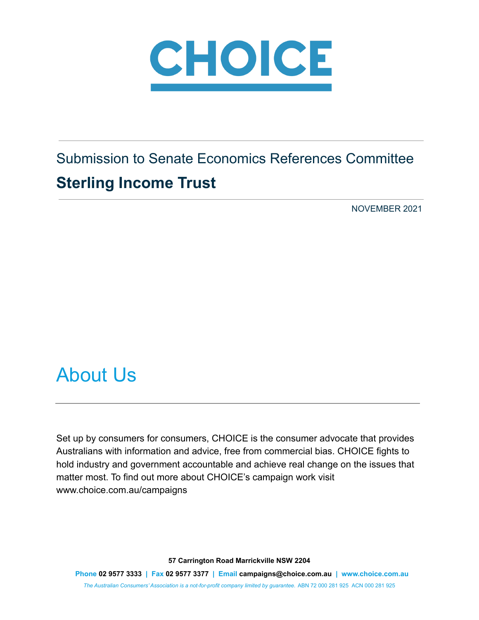

Submission to Senate Economics References Committee **Sterling Income Trust**

NOVEMBER 2021

## <span id="page-0-0"></span>About Us

Set up by consumers for consumers, CHOICE is the consumer advocate that provides Australians with information and advice, free from commercial bias. CHOICE fights to hold industry and government accountable and achieve real change on the issues that matter most. To find out more about CHOICE's campaign work visit www.choice.com.au/campaigns

**57 Carrington Road Marrickville NSW 2204**

**Phone 02 9577 3333 | Fax 02 9577 3377 | Email campaigns@choice.com.au | www.choice.com.au** *The Australian Consumers' Association is a not-for-profit company limited by guarantee.* ABN 72 000 281 925 ACN 000 281 925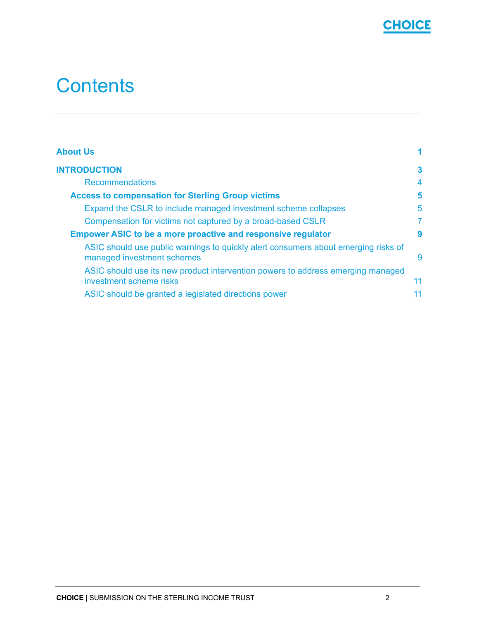

# **Contents**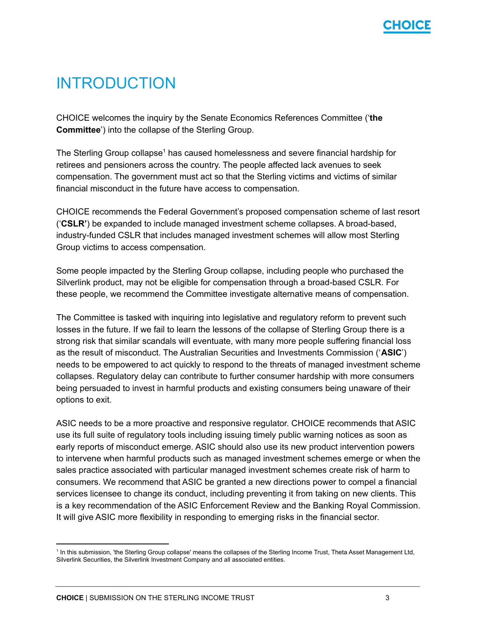

## <span id="page-2-0"></span>INTRODUCTION

CHOICE welcomes the inquiry by the Senate Economics References Committee ('**the Committee**') into the collapse of the Sterling Group.

The Sterling Group collapse<sup>1</sup> has caused homelessness and severe financial hardship for retirees and pensioners across the country. The people affected lack avenues to seek compensation. The government must act so that the Sterling victims and victims of similar financial misconduct in the future have access to compensation.

CHOICE recommends the Federal Government's proposed compensation scheme of last resort ('**CSLR'**) be expanded to include managed investment scheme collapses. A broad-based, industry-funded CSLR that includes managed investment schemes will allow most Sterling Group victims to access compensation.

Some people impacted by the Sterling Group collapse, including people who purchased the Silverlink product, may not be eligible for compensation through a broad-based CSLR. For these people, we recommend the Committee investigate alternative means of compensation.

The Committee is tasked with inquiring into legislative and regulatory reform to prevent such losses in the future. If we fail to learn the lessons of the collapse of Sterling Group there is a strong risk that similar scandals will eventuate, with many more people suffering financial loss as the result of misconduct. The Australian Securities and Investments Commission ('**ASIC**') needs to be empowered to act quickly to respond to the threats of managed investment scheme collapses. Regulatory delay can contribute to further consumer hardship with more consumers being persuaded to invest in harmful products and existing consumers being unaware of their options to exit.

ASIC needs to be a more proactive and responsive regulator. CHOICE recommends that ASIC use its full suite of regulatory tools including issuing timely public warning notices as soon as early reports of misconduct emerge. ASIC should also use its new product intervention powers to intervene when harmful products such as managed investment schemes emerge or when the sales practice associated with particular managed investment schemes create risk of harm to consumers. We recommend that ASIC be granted a new directions power to compel a financial services licensee to change its conduct, including preventing it from taking on new clients. This is a key recommendation of the ASIC Enforcement Review and the Banking Royal Commission. It will give ASIC more flexibility in responding to emerging risks in the financial sector.

<sup>&</sup>lt;sup>1</sup> In this submission, 'the Sterling Group collapse' means the collapses of the Sterling Income Trust, Theta Asset Management Ltd, Silverlink Securities, the Silverlink Investment Company and all associated entities.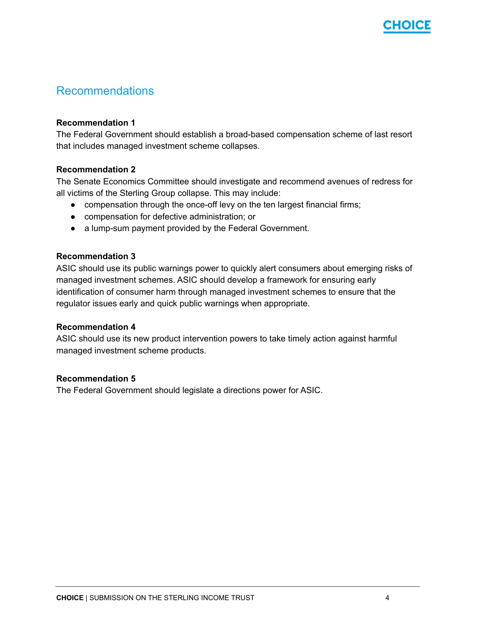

#### <span id="page-3-0"></span>Recommendations

#### **Recommendation 1**

The Federal Government should establish a broad-based compensation scheme of last resort that includes managed investment scheme collapses.

#### **Recommendation 2**

The Senate Economics Committee should investigate and recommend avenues of redress for all victims of the Sterling Group collapse. This may include:

- compensation through the once-off levy on the ten largest financial firms;
- compensation for defective administration; or
- a lump-sum payment provided by the Federal Government.

#### **Recommendation 3**

ASIC should use its public warnings power to quickly alert consumers about emerging risks of managed investment schemes. ASIC should develop a framework for ensuring early identification of consumer harm through managed investment schemes to ensure that the regulator issues early and quick public warnings when appropriate.

#### **Recommendation 4**

ASIC should use its new product intervention powers to take timely action against harmful managed investment scheme products.

#### **Recommendation 5**

The Federal Government should legislate a directions power for ASIC.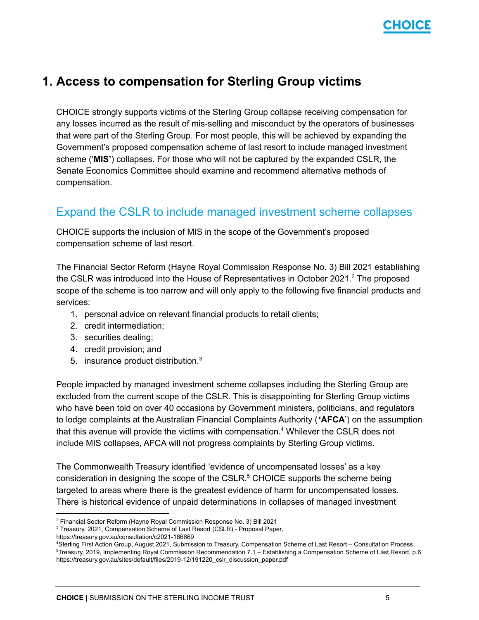

## <span id="page-4-0"></span>**1. Access to compensation for Sterling Group victims**

CHOICE strongly supports victims of the Sterling Group collapse receiving compensation for any losses incurred as the result of mis-selling and misconduct by the operators of businesses that were part of the Sterling Group. For most people, this will be achieved by expanding the Government's proposed compensation scheme of last resort to include managed investment scheme ('**MIS'**) collapses. For those who will not be captured by the expanded CSLR, the Senate Economics Committee should examine and recommend alternative methods of compensation.

#### <span id="page-4-1"></span>Expand the CSLR to include managed investment scheme collapses

CHOICE supports the inclusion of MIS in the scope of the Government's proposed compensation scheme of last resort.

The Financial Sector Reform (Hayne Royal Commission Response No. 3) Bill 2021 establishing the CSLR was introduced into the House of Representatives in October 2021.<sup>2</sup> The proposed scope of the scheme is too narrow and will only apply to the following five financial products and services:

- 1. personal advice on relevant financial products to retail clients;
- 2. credit intermediation;
- 3. securities dealing;
- 4. credit provision; and
- 5. insurance product distribution. $3$

People impacted by managed investment scheme collapses including the Sterling Group are excluded from the current scope of the CSLR. This is disappointing for Sterling Group victims who have been told on over 40 occasions by Government ministers, politicians, and regulators to lodge complaints at the Australian Financial Complaints Authority (**'AFCA**') on the assumption that this avenue will provide the victims with compensation.<sup>4</sup> Whilever the CSLR does not include MIS collapses, AFCA will not progress complaints by Sterling Group victims.

The Commonwealth Treasury identified 'evidence of uncompensated losses' as a key consideration in designing the scope of the CSLR. $5$  CHOICE supports the scheme being targeted to areas where there is the greatest evidence of harm for uncompensated losses. There is historical evidence of unpaid determinations in collapses of managed investment

<sup>2</sup> Financial Sector Reform (Hayne Royal Commission Response No. 3) Bill 2021

<sup>3</sup> Treasury, 2021, Compensation Scheme of Last Resort (CSLR) - Proposal Paper,

https://treasury.gov.au/consultation/c2021-186669

<sup>5</sup>Treasury, 2019, Implementing Royal Commission Recommendation 7.1 – Establishing a Compensation Scheme of Last Resort, p.6 https://treasury.gov.au/sites/default/files/2019-12/191220\_cslr\_discussion\_paper.pdf <sup>4</sup>Sterling First Action Group, August 2021, Submission to Treasury, Compensation Scheme of Last Resort – Consultation Process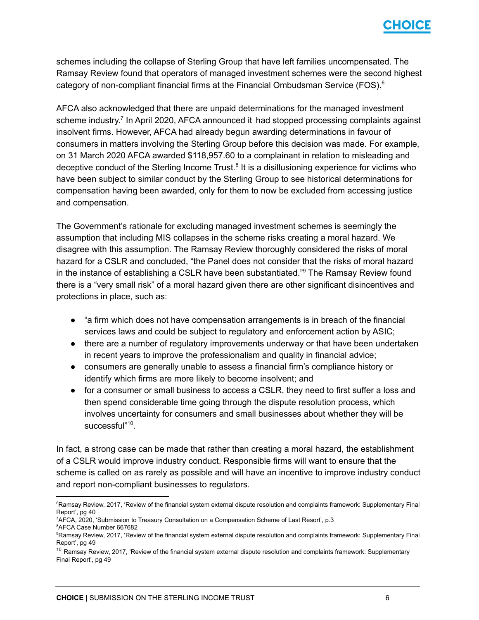

schemes including the collapse of Sterling Group that have left families uncompensated. The Ramsay Review found that operators of managed investment schemes were the second highest category of non-compliant financial firms at the Financial Ombudsman Service (FOS). 6

AFCA also acknowledged that there are unpaid determinations for the managed investment scheme industry.<sup>7</sup> In April 2020, AFCA announced it had stopped processing complaints against insolvent firms. However, AFCA had already begun awarding determinations in favour of consumers in matters involving the Sterling Group before this decision was made. For example, on 31 March 2020 AFCA awarded \$118,957.60 to a complainant in relation to misleading and deceptive conduct of the Sterling Income Trust.<sup>8</sup> It is a disillusioning experience for victims who have been subject to similar conduct by the Sterling Group to see historical determinations for compensation having been awarded, only for them to now be excluded from accessing justice and compensation.

The Government's rationale for excluding managed investment schemes is seemingly the assumption that including MIS collapses in the scheme risks creating a moral hazard. We disagree with this assumption. The Ramsay Review thoroughly considered the risks of moral hazard for a CSLR and concluded, "the Panel does not consider that the risks of moral hazard in the instance of establishing a CSLR have been substantiated."<sup>9</sup> The Ramsay Review found there is a "very small risk" of a moral hazard given there are other significant disincentives and protections in place, such as:

- "a firm which does not have compensation arrangements is in breach of the financial services laws and could be subject to regulatory and enforcement action by ASIC;
- there are a number of regulatory improvements underway or that have been undertaken in recent years to improve the professionalism and quality in financial advice;
- consumers are generally unable to assess a financial firm's compliance history or identify which firms are more likely to become insolvent; and
- for a consumer or small business to access a CSLR, they need to first suffer a loss and then spend considerable time going through the dispute resolution process, which involves uncertainty for consumers and small businesses about whether they will be successful"<sup>10</sup>.

In fact, a strong case can be made that rather than creating a moral hazard, the establishment of a CSLR would improve industry conduct. Responsible firms will want to ensure that the scheme is called on as rarely as possible and will have an incentive to improve industry conduct and report non-compliant businesses to regulators.

<sup>8</sup>AFCA Case Number 667682

<sup>&</sup>lt;sup>6</sup>Ramsay Review, 2017, 'Review of the financial system external dispute resolution and complaints framework: Supplementary Final Report', pg 40

<sup>7</sup>AFCA, 2020, 'Submission to Treasury Consultation on a Compensation Scheme of Last Resort', p.3

<sup>9</sup>Ramsay Review, 2017, 'Review of the financial system external dispute resolution and complaints framework: Supplementary Final Report', pg 49

<sup>&</sup>lt;sup>10</sup> Ramsay Review, 2017, 'Review of the financial system external dispute resolution and complaints framework: Supplementary Final Report', pg 49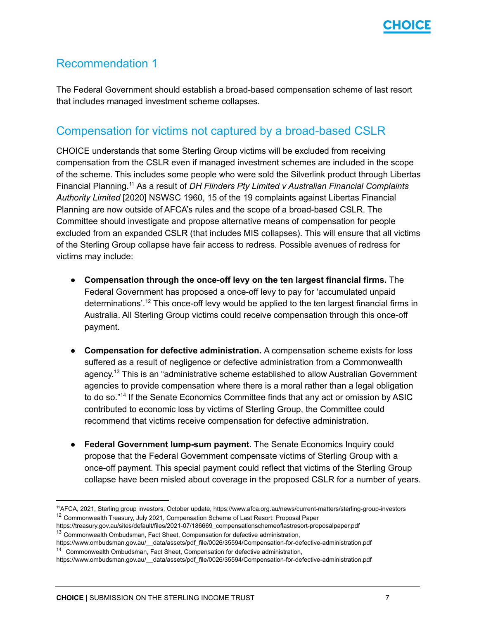

#### Recommendation 1

The Federal Government should establish a broad-based compensation scheme of last resort that includes managed investment scheme collapses.

#### <span id="page-6-0"></span>Compensation for victims not captured by a broad-based CSLR

CHOICE understands that some Sterling Group victims will be excluded from receiving compensation from the CSLR even if managed investment schemes are included in the scope of the scheme. This includes some people who were sold the Silverlink product through Libertas Financial Planning.<sup>11</sup> As a result of *DH Flinders Pty Limited v Australian Financial Complaints Authority Limited* [2020] NSWSC 1960, 15 of the 19 complaints against Libertas Financial Planning are now outside of AFCA's rules and the scope of a broad-based CSLR. The Committee should investigate and propose alternative means of compensation for people excluded from an expanded CSLR (that includes MIS collapses). This will ensure that all victims of the Sterling Group collapse have fair access to redress. Possible avenues of redress for victims may include:

- **Compensation through the once-off levy on the ten largest financial firms.** The Federal Government has proposed a once-off levy to pay for 'accumulated unpaid determinations'.<sup>12</sup> This once-off levy would be applied to the ten largest financial firms in Australia. All Sterling Group victims could receive compensation through this once-off payment.
- **Compensation for defective administration.** A compensation scheme exists for loss suffered as a result of negligence or defective administration from a Commonwealth agency.<sup>13</sup> This is an "administrative scheme established to allow Australian Government agencies to provide compensation where there is a moral rather than a legal obligation to do so."<sup>14</sup> If the Senate Economics Committee finds that any act or omission by ASIC contributed to economic loss by victims of Sterling Group, the Committee could recommend that victims receive compensation for defective administration.
- **● Federal Government lump-sum payment.** The Senate Economics Inquiry could propose that the Federal Government compensate victims of Sterling Group with a once-off payment. This special payment could reflect that victims of the Sterling Group collapse have been misled about coverage in the proposed CSLR for a number of years.

<sup>&</sup>lt;sup>12</sup> Commonwealth Treasury, July 2021, Compensation Scheme of Last Resort: Proposal Paper <sup>11</sup>AFCA, 2021, Sterling group investors, October update, https://www.afca.org.au/news/current-matters/sterling-group-investors

https://treasury.gov.au/sites/default/files/2021-07/186669\_compensationschemeoflastresort-proposalpaper.pdf

<sup>&</sup>lt;sup>13</sup> Commonwealth Ombudsman, Fact Sheet, Compensation for defective administration,

<sup>&</sup>lt;sup>14</sup> Commonwealth Ombudsman, Fact Sheet, Compensation for defective administration, https://www.ombudsman.gov.au/\_\_data/assets/pdf\_file/0026/35594/Compensation-for-defective-administration.pdf

https://www.ombudsman.gov.au/\_\_data/assets/pdf\_file/0026/35594/Compensation-for-defective-administration.pdf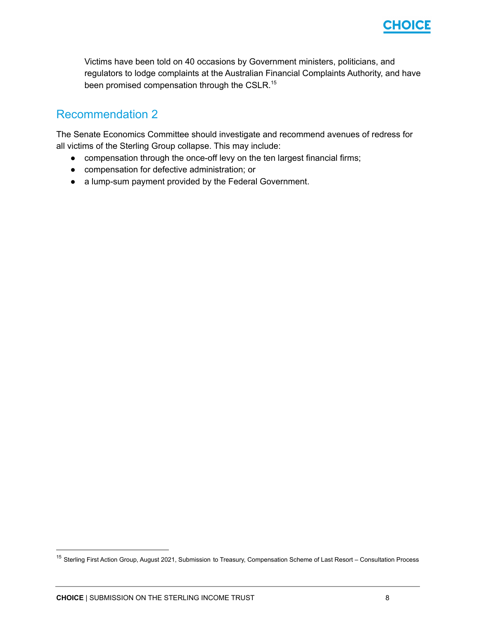

Victims have been told on 40 occasions by Government ministers, politicians, and regulators to lodge complaints at the Australian Financial Complaints Authority, and have been promised compensation through the CSLR.<sup>15</sup>

#### Recommendation 2

The Senate Economics Committee should investigate and recommend avenues of redress for all victims of the Sterling Group collapse. This may include:

- compensation through the once-off levy on the ten largest financial firms;
- compensation for defective administration; or
- a lump-sum payment provided by the Federal Government.

<sup>&</sup>lt;sup>15</sup> Sterling First Action Group, August 2021, Submission to Treasury, Compensation Scheme of Last Resort – Consultation Process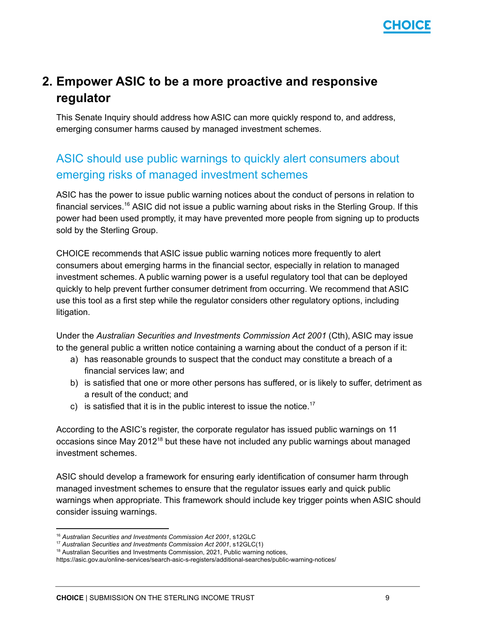

## <span id="page-8-0"></span>**2. Empower ASIC to be a more proactive and responsive regulator**

This Senate Inquiry should address how ASIC can more quickly respond to, and address, emerging consumer harms caused by managed investment schemes.

## <span id="page-8-1"></span>ASIC should use public warnings to quickly alert consumers about emerging risks of managed investment schemes

ASIC has the power to issue public warning notices about the conduct of persons in relation to financial services.<sup>16</sup> ASIC did not issue a public warning about risks in the Sterling Group. If this power had been used promptly, it may have prevented more people from signing up to products sold by the Sterling Group.

CHOICE recommends that ASIC issue public warning notices more frequently to alert consumers about emerging harms in the financial sector, especially in relation to managed investment schemes. A public warning power is a useful regulatory tool that can be deployed quickly to help prevent further consumer detriment from occurring. We recommend that ASIC use this tool as a first step while the regulator considers other regulatory options, including litigation.

Under the *Australian Securities and Investments Commission Act 2001* (Cth), ASIC may issue to the general public a written notice containing a warning about the conduct of a person if it:

- a) has reasonable grounds to suspect that the conduct may constitute a breach of a financial services law; and
- b) is satisfied that one or more other persons has suffered, or is likely to suffer, detriment as a result of the conduct; and
- c) is satisfied that it is in the public interest to issue the notice.<sup>17</sup>

According to the ASIC's register, the corporate regulator has issued public warnings on 11 occasions since May 2012<sup>18</sup> but these have not included any public warnings about managed investment schemes.

ASIC should develop a framework for ensuring early identification of consumer harm through managed investment schemes to ensure that the regulator issues early and quick public warnings when appropriate. This framework should include key trigger points when ASIC should consider issuing warnings.

<sup>16</sup> *Australian Securities and Investments Commission Act 2001*, s12GLC

<sup>17</sup> *Australian Securities and Investments Commission Act 2001*, s12GLC(1)

<sup>&</sup>lt;sup>18</sup> Australian Securities and Investments Commission, 2021, Public warning notices,

https://asic.gov.au/online-services/search-asic-s-registers/additional-searches/public-warning-notices/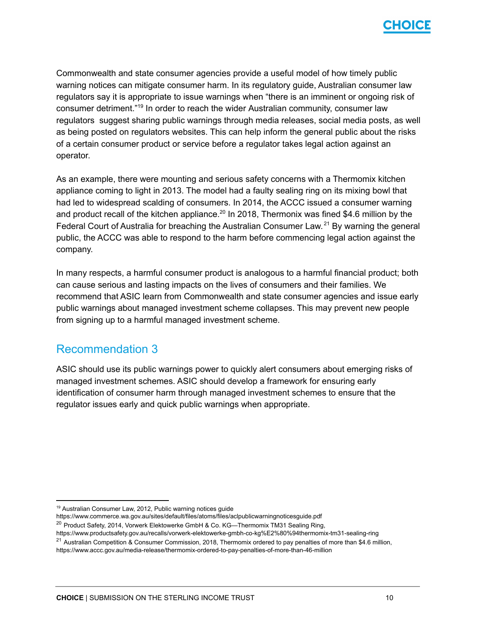

Commonwealth and state consumer agencies provide a useful model of how timely public warning notices can mitigate consumer harm. In its regulatory guide, Australian consumer law regulators say it is appropriate to issue warnings when "there is an imminent or ongoing risk of consumer detriment."<sup>19</sup> In order to reach the wider Australian community, consumer law regulators suggest sharing public warnings through media releases, social media posts, as well as being posted on regulators websites. This can help inform the general public about the risks of a certain consumer product or service before a regulator takes legal action against an operator.

As an example, there were mounting and serious safety concerns with a Thermomix kitchen appliance coming to light in 2013. The model had a faulty sealing ring on its mixing bowl that had led to widespread scalding of consumers. In 2014, the ACCC issued a consumer warning and product recall of the kitchen appliance.<sup>20</sup> In 2018, Thermonix was fined \$4.6 million by the Federal Court of Australia for breaching the Australian Consumer Law.<sup>21</sup> By warning the general public, the ACCC was able to respond to the harm before commencing legal action against the company.

In many respects, a harmful consumer product is analogous to a harmful financial product; both can cause serious and lasting impacts on the lives of consumers and their families. We recommend that ASIC learn from Commonwealth and state consumer agencies and issue early public warnings about managed investment scheme collapses. This may prevent new people from signing up to a harmful managed investment scheme.

#### Recommendation 3

ASIC should use its public warnings power to quickly alert consumers about emerging risks of managed investment schemes. ASIC should develop a framework for ensuring early identification of consumer harm through managed investment schemes to ensure that the regulator issues early and quick public warnings when appropriate.

<sup>19</sup> Australian Consumer Law, 2012, Public warning notices guide

https://www.commerce.wa.gov.au/sites/default/files/atoms/files/aclpublicwarningnoticesguide.pdf

<sup>&</sup>lt;sup>20</sup> Product Safety, 2014, Vorwerk Elektowerke GmbH & Co. KG—Thermomix TM31 Sealing Ring,

https://www.productsafety.gov.au/recalls/vorwerk-elektowerke-gmbh-co-kg%E2%80%94thermomix-tm31-sealing-ring

<sup>&</sup>lt;sup>21</sup> Australian Competition & Consumer Commission, 2018, Thermomix ordered to pay penalties of more than \$4.6 million, https://www.accc.gov.au/media-release/thermomix-ordered-to-pay-penalties-of-more-than-46-million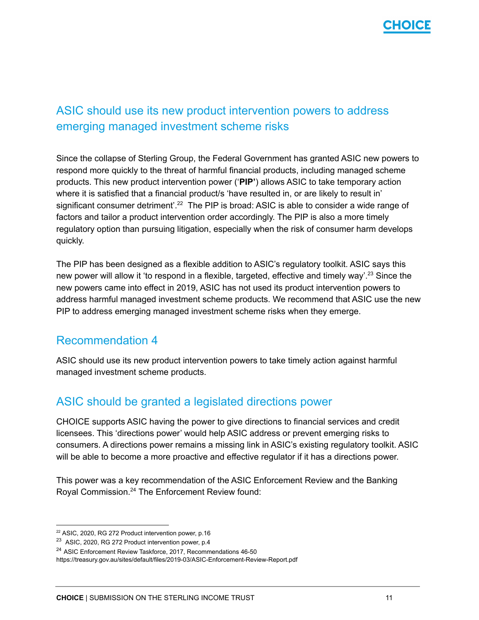

## <span id="page-10-0"></span>ASIC should use its new product intervention powers to address emerging managed investment scheme risks

Since the collapse of Sterling Group, the Federal Government has granted ASIC new powers to respond more quickly to the threat of harmful financial products, including managed scheme products. This new product intervention power ('**PIP'**) allows ASIC to take temporary action where it is satisfied that a financial product/s 'have resulted in, or are likely to result in' significant consumer detriment'.<sup>22</sup> The PIP is broad: ASIC is able to consider a wide range of factors and tailor a product intervention order accordingly. The PIP is also a more timely regulatory option than pursuing litigation, especially when the risk of consumer harm develops quickly.

The PIP has been designed as a flexible addition to ASIC's regulatory toolkit. ASIC says this new power will allow it 'to respond in a flexible, targeted, effective and timely way'.<sup>23</sup> Since the new powers came into effect in 2019, ASIC has not used its product intervention powers to address harmful managed investment scheme products. We recommend that ASIC use the new PIP to address emerging managed investment scheme risks when they emerge.

#### Recommendation 4

ASIC should use its new product intervention powers to take timely action against harmful managed investment scheme products.

### <span id="page-10-1"></span>ASIC should be granted a legislated directions power

CHOICE supports ASIC having the power to give directions to financial services and credit licensees. This 'directions power' would help ASIC address or prevent emerging risks to consumers. A directions power remains a missing link in ASIC's existing regulatory toolkit. ASIC will be able to become a more proactive and effective regulator if it has a directions power.

This power was a key recommendation of the ASIC Enforcement Review and the Banking Royal Commission.<sup>24</sup> The Enforcement Review found:

<sup>22</sup> ASIC, 2020, RG 272 Product intervention power, p.16

<sup>&</sup>lt;sup>23</sup> ASIC, 2020, RG 272 Product intervention power, p.4

<sup>&</sup>lt;sup>24</sup> ASIC Enforcement Review Taskforce, 2017, Recommendations 46-50

https://treasury.gov.au/sites/default/files/2019-03/ASIC-Enforcement-Review-Report.pdf